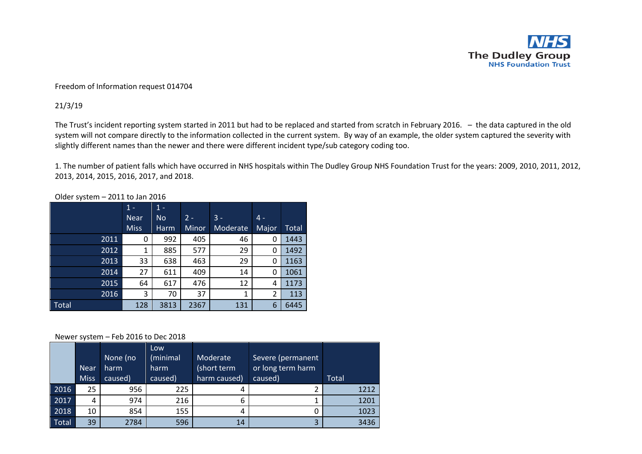

## Freedom of Information request 014704

## 21/3/19

The Trust's incident reporting system started in 2011 but had to be replaced and started from scratch in February 2016. – the data captured in the old system will not compare directly to the information collected in the current system. By way of an example, the older system captured the severity with slightly different names than the newer and there were different incident type/sub category coding too.

1. The number of patient falls which have occurred in NHS hospitals within The Dudley Group NHS Foundation Trust for the years: 2009, 2010, 2011, 2012, 2013, 2014, 2015, 2016, 2017, and 2018.

|              | $1 -$       | $1 -$     |       |                 |       |       |
|--------------|-------------|-----------|-------|-----------------|-------|-------|
|              | <b>Near</b> | <b>No</b> | $2 -$ | $3 -$           | $4 -$ |       |
|              | <b>Miss</b> | Harm      | Minor | <b>Moderate</b> | Major | Total |
| 2011         | 0           | 992       | 405   | 46              |       | 1443  |
| 2012         | 1           | 885       | 577   | 29              | 0     | 1492  |
| 2013         | 33          | 638       | 463   | 29              | 0     | 1163  |
| 2014         | 27          | 611       | 409   | 14              | 0     | 1061  |
| 2015         | 64          | 617       | 476   | 12              | 4     | 1173  |
| 2016         | 3           | 70        | 37    | 1               | 2     | 113   |
| <b>Total</b> | 128         | 3813      | 2367  | 131             | 6     | 6445  |

Older system – 2011 to Jan 2016

## Newer system – Feb 2016 to Dec 2018

|       | <b>Near</b><br><b>Miss</b> | None (no<br>harm<br>caused) | Low<br>(minimal<br>harm<br>caused) | Moderate<br>(short term<br>harm caused) | Severe (permanent<br>or long term harm<br>caused) | Total |
|-------|----------------------------|-----------------------------|------------------------------------|-----------------------------------------|---------------------------------------------------|-------|
| 2016  | 25                         | 956                         | 225                                | 4                                       |                                                   | 1212  |
| 2017  | 4                          | 974                         | 216                                | 6                                       | 1                                                 | 1201  |
| 2018  | 10                         | 854                         | 155                                | 4                                       | 0                                                 | 1023  |
| Total | 39                         | 2784                        | 596                                | 14                                      | 3                                                 | 3436  |